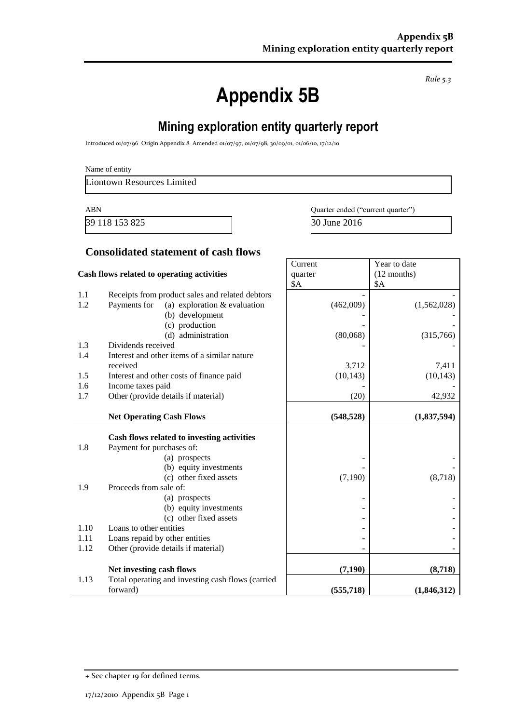*Rule 5.3*

# **Appendix 5B**

## **Mining exploration entity quarterly report**

Introduced 01/07/96 Origin Appendix 8 Amended 01/07/97, 01/07/98, 30/09/01, 01/06/10, 17/12/10

| Name of entity |  |  |  |
|----------------|--|--|--|
|----------------|--|--|--|

Liontown Resources Limited

39 118 153 825 30 June 2016

ABN Quarter ended ("current quarter")

Year to date

**Current** 

#### **Consolidated statement of cash flows**

| Cash flows related to operating activities |                                                   | quarter    | $(12$ months) |
|--------------------------------------------|---------------------------------------------------|------------|---------------|
|                                            |                                                   | \$A        | \$A           |
| 1.1                                        | Receipts from product sales and related debtors   |            |               |
| 1.2                                        | Payments for<br>(a) exploration $&$ evaluation    | (462,009)  | (1,562,028)   |
|                                            | (b) development                                   |            |               |
|                                            | (c) production                                    |            |               |
|                                            | (d) administration                                | (80,068)   | (315,766)     |
| 1.3                                        | Dividends received                                |            |               |
| 1.4                                        | Interest and other items of a similar nature      |            |               |
|                                            | received                                          | 3,712      | 7,411         |
| 1.5                                        | Interest and other costs of finance paid          | (10, 143)  | (10, 143)     |
| 1.6                                        | Income taxes paid                                 |            |               |
| 1.7                                        | Other (provide details if material)               | (20)       | 42,932        |
|                                            |                                                   |            |               |
|                                            | <b>Net Operating Cash Flows</b>                   | (548, 528) | (1,837,594)   |
|                                            |                                                   |            |               |
|                                            | Cash flows related to investing activities        |            |               |
| 1.8                                        | Payment for purchases of:                         |            |               |
|                                            | (a) prospects                                     |            |               |
|                                            | (b) equity investments                            |            |               |
|                                            | (c) other fixed assets                            | (7,190)    | (8,718)       |
| 1.9                                        | Proceeds from sale of:                            |            |               |
|                                            | (a) prospects                                     |            |               |
|                                            | (b) equity investments                            |            |               |
|                                            | (c) other fixed assets                            |            |               |
| 1.10                                       | Loans to other entities                           |            |               |
| 1.11                                       | Loans repaid by other entities                    |            |               |
| 1.12                                       | Other (provide details if material)               |            |               |
|                                            |                                                   |            |               |
|                                            | Net investing cash flows                          | (7, 190)   | (8,718)       |
| 1.13                                       | Total operating and investing cash flows (carried |            |               |
|                                            | forward)                                          | (555, 718) | (1,846,312)   |

<sup>+</sup> See chapter 19 for defined terms.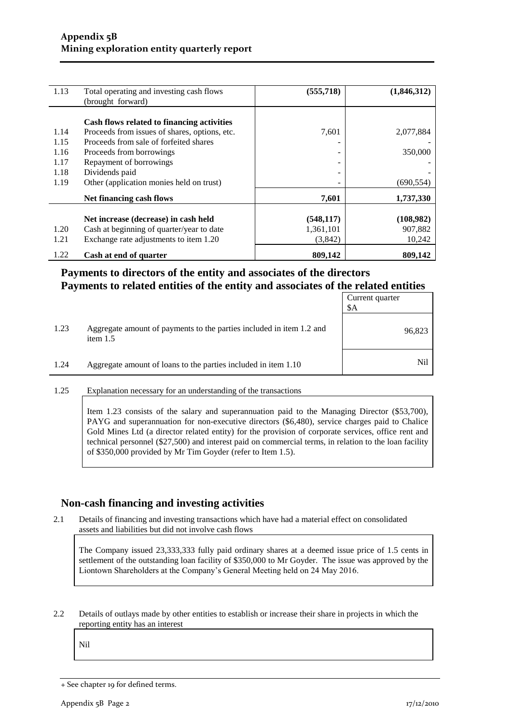| 1.13 | Total operating and investing cash flows<br>(brought forward) | (555, 718) | (1,846,312) |
|------|---------------------------------------------------------------|------------|-------------|
|      | Cash flows related to financing activities                    |            |             |
| 1.14 | Proceeds from issues of shares, options, etc.                 | 7,601      | 2,077,884   |
| 1.15 | Proceeds from sale of forfeited shares                        |            |             |
| 1.16 | Proceeds from borrowings                                      | -          | 350,000     |
| 1.17 | Repayment of borrowings                                       |            |             |
| 1.18 | Dividends paid                                                |            |             |
| 1.19 | Other (application monies held on trust)                      | -          | (690, 554)  |
|      | Net financing cash flows                                      | 7,601      | 1,737,330   |
|      | Net increase (decrease) in cash held                          | (548, 117) | (108,982)   |
| 1.20 | Cash at beginning of quarter/year to date                     | 1,361,101  | 907,882     |
| 1.21 | Exchange rate adjustments to item 1.20                        | (3,842)    | 10,242      |
| 1.22 | Cash at end of quarter                                        | 809,142    | 809,142     |

#### **Payments to directors of the entity and associates of the directors Payments to related entities of the entity and associates of the related entities**

|      |                                                                                    | Current quarter<br>\$A |
|------|------------------------------------------------------------------------------------|------------------------|
| 1.23 | Aggregate amount of payments to the parties included in item 1.2 and<br>item $1.5$ | 96,823                 |
| 1.24 | Aggregate amount of loans to the parties included in item 1.10                     | Nil                    |

1.25 Explanation necessary for an understanding of the transactions

Item 1.23 consists of the salary and superannuation paid to the Managing Director (\$53,700), PAYG and superannuation for non-executive directors (\$6,480), service charges paid to Chalice Gold Mines Ltd (a director related entity) for the provision of corporate services, office rent and technical personnel (\$27,500) and interest paid on commercial terms, in relation to the loan facility of \$350,000 provided by Mr Tim Goyder (refer to Item 1.5).

#### **Non-cash financing and investing activities**

2.1 Details of financing and investing transactions which have had a material effect on consolidated assets and liabilities but did not involve cash flows

The Company issued 23,333,333 fully paid ordinary shares at a deemed issue price of 1.5 cents in settlement of the outstanding loan facility of \$350,000 to Mr Goyder. The issue was approved by the Liontown Shareholders at the Company's General Meeting held on 24 May 2016.

2.2 Details of outlays made by other entities to establish or increase their share in projects in which the reporting entity has an interest

Nil

<sup>+</sup> See chapter 19 for defined terms.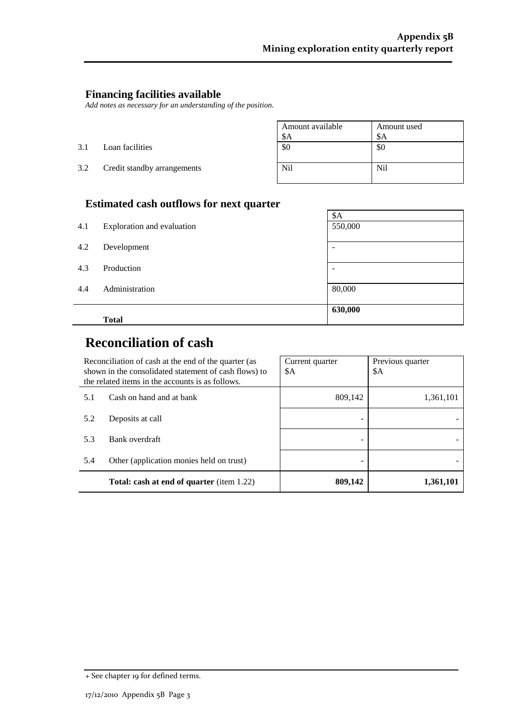$\overline{a}$ 

#### **Financing facilities available**

*Add notes as necessary for an understanding of the position.*

|     |                             | Amount available | Amount used     |
|-----|-----------------------------|------------------|-----------------|
|     |                             | \$A              | \$Α             |
| 3.1 | Loan facilities             | \$0              | \$0             |
| 3.2 | Credit standby arrangements | N <sub>il</sub>  | N <sub>il</sub> |

## **Estimated cash outflows for next quarter**

|     | <b>Total</b>               | 630,000                  |
|-----|----------------------------|--------------------------|
| 4.4 | Administration             | 80,000                   |
| 4.3 | Production                 | $\overline{\phantom{0}}$ |
| 4.2 | Development                | -                        |
| 4.1 | Exploration and evaluation | 550,000                  |
|     |                            | \$A                      |

# **Reconciliation of cash**

|                                                  | Reconciliation of cash at the end of the quarter (as<br>shown in the consolidated statement of cash flows) to<br>the related items in the accounts is as follows. | Current quarter<br>\$Α | Previous quarter<br>\$A |
|--------------------------------------------------|-------------------------------------------------------------------------------------------------------------------------------------------------------------------|------------------------|-------------------------|
| 5.1                                              | Cash on hand and at bank                                                                                                                                          | 809,142                | 1,361,101               |
| 5.2                                              | Deposits at call                                                                                                                                                  |                        |                         |
| 5.3                                              | Bank overdraft                                                                                                                                                    |                        |                         |
| 5.4                                              | Other (application monies held on trust)                                                                                                                          |                        |                         |
| <b>Total: cash at end of quarter</b> (item 1.22) |                                                                                                                                                                   | 809,142                | 1,361,101               |

<sup>+</sup> See chapter 19 for defined terms.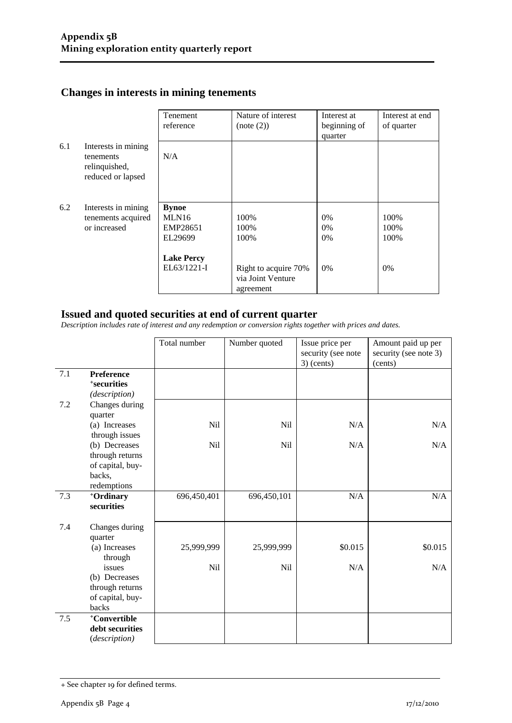## **Changes in interests in mining tenements**

|     |                                                                        | Tenement<br>reference                        | Nature of interest<br>(note (2))                       | Interest at<br>beginning of<br>quarter | Interest at end<br>of quarter |
|-----|------------------------------------------------------------------------|----------------------------------------------|--------------------------------------------------------|----------------------------------------|-------------------------------|
| 6.1 | Interests in mining<br>tenements<br>relinquished,<br>reduced or lapsed | N/A                                          |                                                        |                                        |                               |
| 6.2 | Interests in mining<br>tenements acquired<br>or increased              | <b>Bynoe</b><br>MLN16<br>EMP28651<br>EL29699 | 100%<br>100%<br>100%                                   | $0\%$<br>$0\%$<br>0%                   | 100%<br>100%<br>100%          |
|     |                                                                        | <b>Lake Percy</b><br>EL63/1221-I             | Right to acquire 70%<br>via Joint Venture<br>agreement | 0%                                     | $0\%$                         |

#### **Issued and quoted securities at end of current quarter**

*Description includes rate of interest and any redemption or conversion rights together with prices and dates.*

|     |                                                                         | Total number | Number quoted | Issue price per<br>security (see note<br>$3)$ (cents) | Amount paid up per<br>security (see note 3)<br>(cents) |
|-----|-------------------------------------------------------------------------|--------------|---------------|-------------------------------------------------------|--------------------------------------------------------|
| 7.1 | Preference<br><sup>+</sup> securities<br>(description)                  |              |               |                                                       |                                                        |
| 7.2 | Changes during<br>quarter                                               |              |               |                                                       |                                                        |
|     | (a) Increases<br>through issues                                         | Nil          | Nil           | N/A                                                   | N/A                                                    |
|     | (b) Decreases<br>through returns<br>of capital, buy-                    | <b>Nil</b>   | <b>Nil</b>    | N/A                                                   | N/A                                                    |
|     | backs,<br>redemptions                                                   |              |               |                                                       |                                                        |
| 7.3 | +Ordinary<br>securities                                                 | 696,450,401  | 696,450,101   | N/A                                                   | N/A                                                    |
| 7.4 | Changes during<br>quarter                                               |              |               |                                                       |                                                        |
|     | (a) Increases<br>through                                                | 25,999,999   | 25,999,999    | \$0.015                                               | \$0.015                                                |
|     | issues<br>(b) Decreases<br>through returns<br>of capital, buy-<br>backs | Nil          | Nil           | N/A                                                   | N/A                                                    |
| 7.5 | +Convertible<br>debt securities<br>(description)                        |              |               |                                                       |                                                        |

<sup>+</sup> See chapter 19 for defined terms.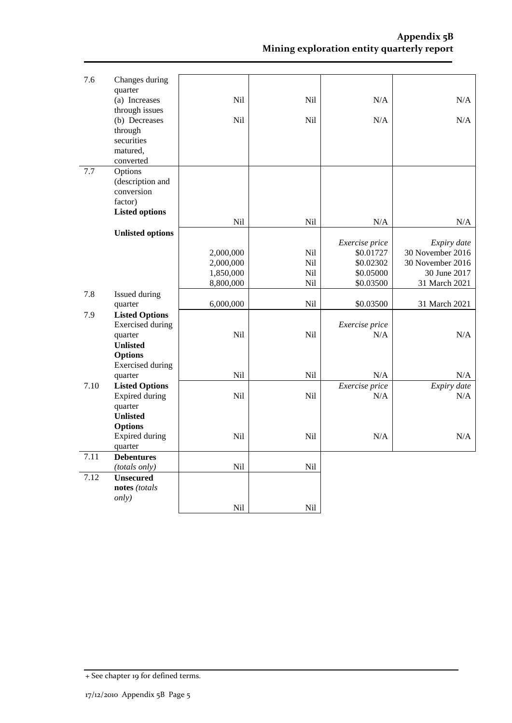| 7.6  | Changes during                     |                        |            |                        |                                  |
|------|------------------------------------|------------------------|------------|------------------------|----------------------------------|
|      | quarter                            |                        |            |                        |                                  |
|      | (a) Increases<br>through issues    | Nil                    | Nil        | N/A                    | N/A                              |
|      | (b) Decreases                      | Nil                    | Nil        | N/A                    | N/A                              |
|      | through                            |                        |            |                        |                                  |
|      | securities                         |                        |            |                        |                                  |
|      | matured,                           |                        |            |                        |                                  |
|      | converted                          |                        |            |                        |                                  |
| 7.7  | Options<br>(description and        |                        |            |                        |                                  |
|      | conversion                         |                        |            |                        |                                  |
|      | factor)                            |                        |            |                        |                                  |
|      | <b>Listed options</b>              |                        |            |                        |                                  |
|      |                                    | Nil                    | Nil        | N/A                    | N/A                              |
|      | <b>Unlisted options</b>            |                        |            |                        |                                  |
|      |                                    |                        |            | Exercise price         | Expiry date                      |
|      |                                    | 2,000,000              | Nil        | \$0.01727              | 30 November 2016                 |
|      |                                    | 2,000,000              | Nil<br>Nil | \$0.02302<br>\$0.05000 | 30 November 2016<br>30 June 2017 |
|      |                                    | 1,850,000<br>8,800,000 | Nil        | \$0.03500              | 31 March 2021                    |
| 7.8  | Issued during                      |                        |            |                        |                                  |
|      | quarter                            | 6,000,000              | Nil        | \$0.03500              | 31 March 2021                    |
| 7.9  | <b>Listed Options</b>              |                        |            |                        |                                  |
|      | <b>Exercised</b> during            |                        |            | Exercise price         |                                  |
|      | quarter                            | Nil                    | Nil        | N/A                    | N/A                              |
|      | <b>Unlisted</b>                    |                        |            |                        |                                  |
|      | <b>Options</b>                     |                        |            |                        |                                  |
|      | <b>Exercised</b> during<br>quarter | Nil                    | Nil        | N/A                    | N/A                              |
| 7.10 | <b>Listed Options</b>              |                        |            | Exercise price         | Expiry date                      |
|      | <b>Expired during</b>              | Nil                    | Nil        | N/A                    | N/A                              |
|      | quarter                            |                        |            |                        |                                  |
|      | <b>Unlisted</b>                    |                        |            |                        |                                  |
|      | <b>Options</b>                     |                        |            |                        |                                  |
|      | Expired during                     | Nil                    | Nil        | N/A                    | N/A                              |
| 7.11 | quarter<br><b>Debentures</b>       |                        |            |                        |                                  |
|      | (totals only)                      | Nil                    | Nil        |                        |                                  |
| 7.12 | <b>Unsecured</b>                   |                        |            |                        |                                  |
|      | notes (totals                      |                        |            |                        |                                  |
|      | only)                              |                        |            |                        |                                  |
|      |                                    | Nil                    | Nil        |                        |                                  |

<sup>+</sup> See chapter 19 for defined terms.